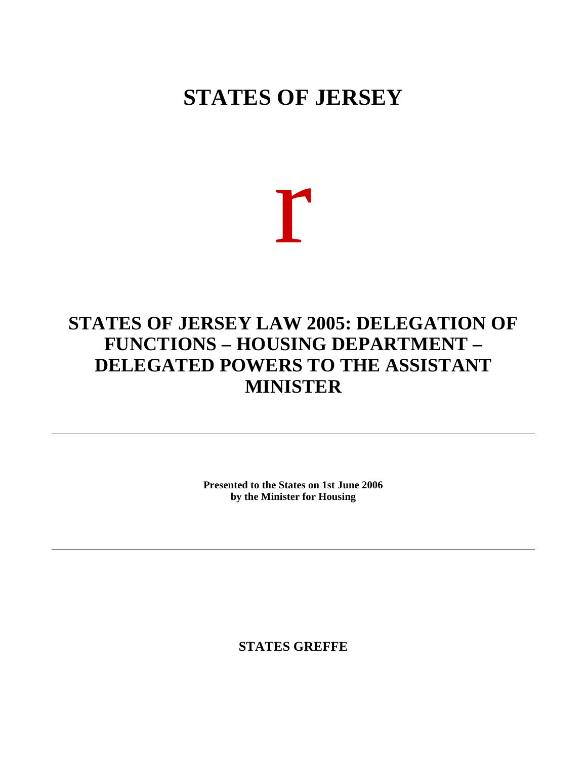## **STATES OF JERSEY**

## r

## **STATES OF JERSEY LAW 2005: DELEGATION OF FUNCTIONS – HOUSING DEPARTMENT – DELEGATED POWERS TO THE ASSISTANT MINISTER**

**Presented to the States on 1st June 2006 by the Minister for Housing**

**STATES GREFFE**